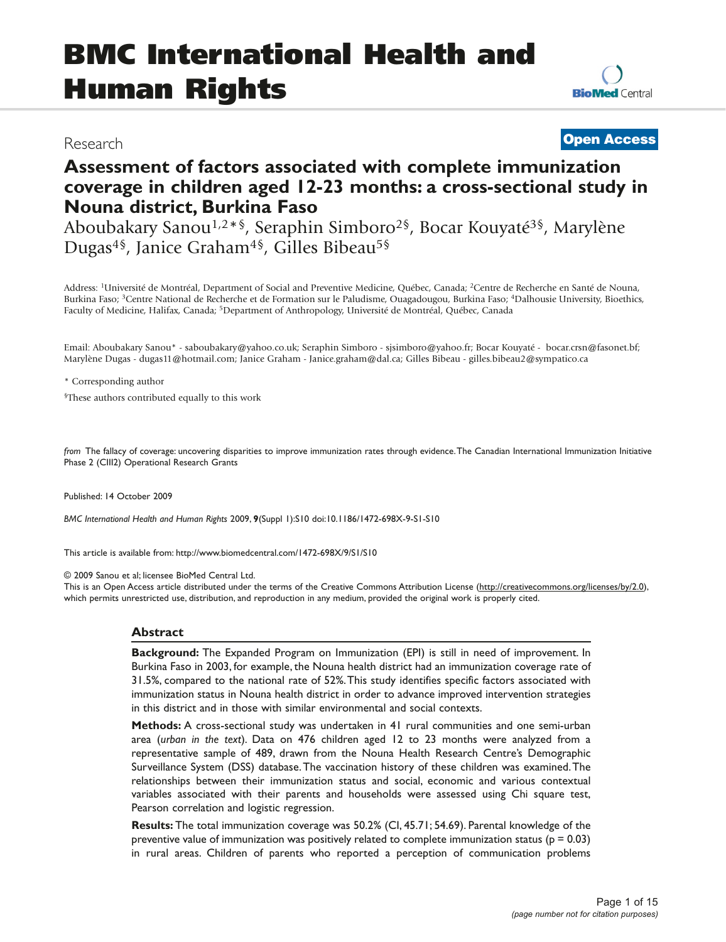# **BMC International Health and Human Rights**

# Research

**Open Access**

**BioMed Central** 

# **Assessment of factors associated with complete immunization coverage in children aged 12-23 months: a cross-sectional study in Nouna district, Burkina Faso**

Aboubakary Sanou<sup>1,2\*§</sup>, Seraphin Simboro<sup>2§</sup>, Bocar Kouyaté<sup>3§</sup>, Marylène Dugas<sup>4§</sup>, Janice Graham<sup>4§</sup>, Gilles Bibeau<sup>5§</sup>

Address: 1Université de Montréal, Department of Social and Preventive Medicine, Québec, Canada; 2Centre de Recherche en Santé de Nouna, Burkina Faso; 3Centre National de Recherche et de Formation sur le Paludisme, Ouagadougou, Burkina Faso; 4Dalhousie University, Bioethics, Faculty of Medicine, Halifax, Canada; 5Department of Anthropology, Université de Montréal, Québec, Canada

Email: Aboubakary Sanou\* - saboubakary@yahoo.co.uk; Seraphin Simboro - sjsimboro@yahoo.fr; Bocar Kouyaté - bocar.crsn@fasonet.bf; Marylène Dugas - dugas11@hotmail.com; Janice Graham - Janice.graham@dal.ca; Gilles Bibeau - gilles.bibeau2@sympatico.ca

\* Corresponding author

§These authors contributed equally to this work

*from* The fallacy of coverage: uncovering disparities to improve immunization rates through evidence.The Canadian International Immunization Initiative Phase 2 (CIII2) Operational Research Grants

Published: 14 October 2009

*BMC International Health and Human Rights* 2009, **9**(Suppl 1):S10 doi:10.1186/1472-698X-9-S1-S10

This article is available from: http://www.biomedcentral.com/1472-698X/9/S1/S10

© 2009 Sanou et al; licensee BioMed Central Ltd.

This is an Open Access article distributed under the terms of the Creative Commons Attribution License (http://creativecommons.org/licenses/by/2.0), which permits unrestricted use, distribution, and reproduction in any medium, provided the original work is properly cited.

## **Abstract**

**Background:** The Expanded Program on Immunization (EPI) is still in need of improvement. In Burkina Faso in 2003, for example, the Nouna health district had an immunization coverage rate of 31.5%, compared to the national rate of 52%.This study identifies specific factors associated with immunization status in Nouna health district in order to advance improved intervention strategies in this district and in those with similar environmental and social contexts.

**Methods:** A cross-sectional study was undertaken in 41 rural communities and one semi-urban area (*urban in the text*). Data on 476 children aged 12 to 23 months were analyzed from a representative sample of 489, drawn from the Nouna Health Research Centre's Demographic Surveillance System (DSS) database.The vaccination history of these children was examined.The relationships between their immunization status and social, economic and various contextual variables associated with their parents and households were assessed using Chi square test, Pearson correlation and logistic regression.

**Results:** The total immunization coverage was 50.2% (CI, 45.71; 54.69). Parental knowledge of the preventive value of immunization was positively related to complete immunization status ( $p = 0.03$ ) in rural areas. Children of parents who reported a perception of communication problems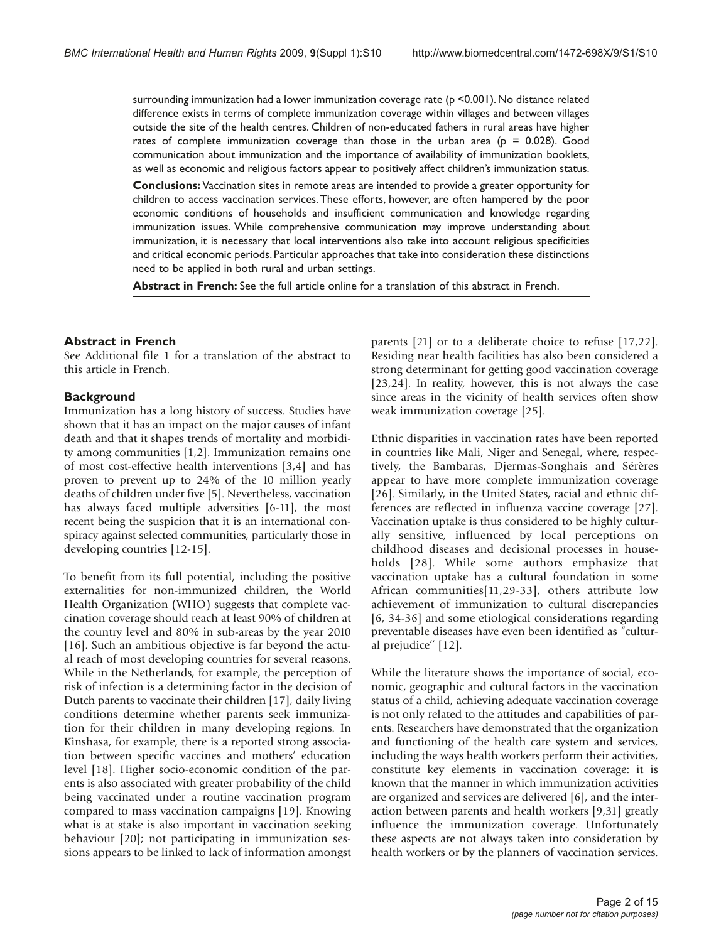surrounding immunization had a lower immunization coverage rate (p <0.001). No distance related difference exists in terms of complete immunization coverage within villages and between villages outside the site of the health centres. Children of non-educated fathers in rural areas have higher rates of complete immunization coverage than those in the urban area ( $p = 0.028$ ). Good communication about immunization and the importance of availability of immunization booklets, as well as economic and religious factors appear to positively affect children's immunization status.

**Conclusions:** Vaccination sites in remote areas are intended to provide a greater opportunity for children to access vaccination services.These efforts, however, are often hampered by the poor economic conditions of households and insufficient communication and knowledge regarding immunization issues. While comprehensive communication may improve understanding about immunization, it is necessary that local interventions also take into account religious specificities and critical economic periods. Particular approaches that take into consideration these distinctions need to be applied in both rural and urban settings.

**Abstract in French:** See the full article online for a translation of this abstract in French.

#### **Abstract in French**

See Additional file 1 for a translation of the abstract to this article in French.

#### **Background**

Immunization has a long history of success. Studies have shown that it has an impact on the major causes of infant death and that it shapes trends of mortality and morbidity among communities [1,2]. Immunization remains one of most cost-effective health interventions [3,4] and has proven to prevent up to 24% of the 10 million yearly deaths of children under five [5]. Nevertheless, vaccination has always faced multiple adversities [6-11], the most recent being the suspicion that it is an international conspiracy against selected communities, particularly those in developing countries [12-15].

To benefit from its full potential, including the positive externalities for non-immunized children, the World Health Organization (WHO) suggests that complete vaccination coverage should reach at least 90% of children at the country level and 80% in sub-areas by the year 2010 [16]. Such an ambitious objective is far beyond the actual reach of most developing countries for several reasons. While in the Netherlands, for example, the perception of risk of infection is a determining factor in the decision of Dutch parents to vaccinate their children [17], daily living conditions determine whether parents seek immunization for their children in many developing regions. In Kinshasa, for example, there is a reported strong association between specific vaccines and mothers' education level [18]. Higher socio-economic condition of the parents is also associated with greater probability of the child being vaccinated under a routine vaccination program compared to mass vaccination campaigns [19]. Knowing what is at stake is also important in vaccination seeking behaviour [20]; not participating in immunization sessions appears to be linked to lack of information amongst parents [21] or to a deliberate choice to refuse [17,22]. Residing near health facilities has also been considered a strong determinant for getting good vaccination coverage [23,24]. In reality, however, this is not always the case since areas in the vicinity of health services often show weak immunization coverage [25].

Ethnic disparities in vaccination rates have been reported in countries like Mali, Niger and Senegal, where, respectively, the Bambaras, Djermas-Songhais and Sérères appear to have more complete immunization coverage [26]. Similarly, in the United States, racial and ethnic differences are reflected in influenza vaccine coverage [27]. Vaccination uptake is thus considered to be highly culturally sensitive, influenced by local perceptions on childhood diseases and decisional processes in households [28]. While some authors emphasize that vaccination uptake has a cultural foundation in some African communities[11,29-33], others attribute low achievement of immunization to cultural discrepancies [6, 34-36] and some etiological considerations regarding preventable diseases have even been identified as "cultural prejudice'' [12].

While the literature shows the importance of social, economic, geographic and cultural factors in the vaccination status of a child, achieving adequate vaccination coverage is not only related to the attitudes and capabilities of parents. Researchers have demonstrated that the organization and functioning of the health care system and services, including the ways health workers perform their activities, constitute key elements in vaccination coverage: it is known that the manner in which immunization activities are organized and services are delivered [6], and the interaction between parents and health workers [9,31] greatly influence the immunization coverage. Unfortunately these aspects are not always taken into consideration by health workers or by the planners of vaccination services.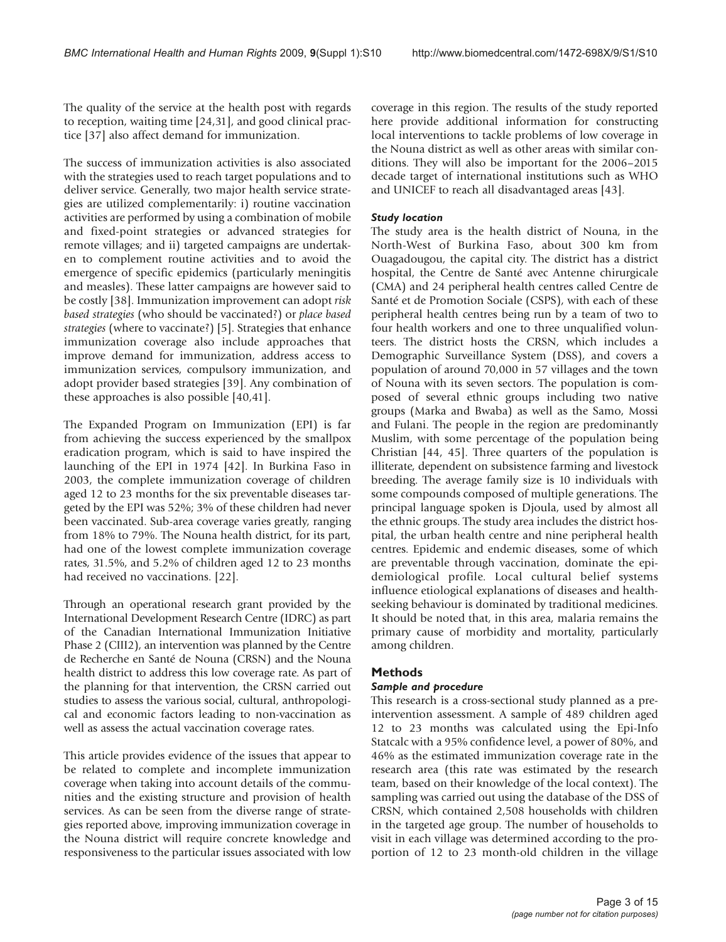The quality of the service at the health post with regards to reception, waiting time [24,31], and good clinical practice [37] also affect demand for immunization.

The success of immunization activities is also associated with the strategies used to reach target populations and to deliver service. Generally, two major health service strategies are utilized complementarily: i) routine vaccination activities are performed by using a combination of mobile and fixed-point strategies or advanced strategies for remote villages; and ii) targeted campaigns are undertaken to complement routine activities and to avoid the emergence of specific epidemics (particularly meningitis and measles). These latter campaigns are however said to be costly [38]. Immunization improvement can adopt *risk based strategies* (who should be vaccinated?) or *place based strategies* (where to vaccinate?) [5]. Strategies that enhance immunization coverage also include approaches that improve demand for immunization, address access to immunization services, compulsory immunization, and adopt provider based strategies [39]. Any combination of these approaches is also possible [40,41].

The Expanded Program on Immunization (EPI) is far from achieving the success experienced by the smallpox eradication program, which is said to have inspired the launching of the EPI in 1974 [42]. In Burkina Faso in 2003, the complete immunization coverage of children aged 12 to 23 months for the six preventable diseases targeted by the EPI was 52%; 3% of these children had never been vaccinated. Sub-area coverage varies greatly, ranging from 18% to 79%. The Nouna health district, for its part, had one of the lowest complete immunization coverage rates, 31.5%, and 5.2% of children aged 12 to 23 months had received no vaccinations. [22].

Through an operational research grant provided by the International Development Research Centre (IDRC) as part of the Canadian International Immunization Initiative Phase 2 (CIII2), an intervention was planned by the Centre de Recherche en Santé de Nouna (CRSN) and the Nouna health district to address this low coverage rate. As part of the planning for that intervention, the CRSN carried out studies to assess the various social, cultural, anthropological and economic factors leading to non-vaccination as well as assess the actual vaccination coverage rates.

This article provides evidence of the issues that appear to be related to complete and incomplete immunization coverage when taking into account details of the communities and the existing structure and provision of health services. As can be seen from the diverse range of strategies reported above, improving immunization coverage in the Nouna district will require concrete knowledge and responsiveness to the particular issues associated with low

coverage in this region. The results of the study reported here provide additional information for constructing local interventions to tackle problems of low coverage in the Nouna district as well as other areas with similar conditions. They will also be important for the 2006–2015 decade target of international institutions such as WHO and UNICEF to reach all disadvantaged areas [43].

# *Study location*

The study area is the health district of Nouna, in the North-West of Burkina Faso, about 300 km from Ouagadougou, the capital city. The district has a district hospital, the Centre de Santé avec Antenne chirurgicale (CMA) and 24 peripheral health centres called Centre de Santé et de Promotion Sociale (CSPS), with each of these peripheral health centres being run by a team of two to four health workers and one to three unqualified volunteers. The district hosts the CRSN, which includes a Demographic Surveillance System (DSS), and covers a population of around 70,000 in 57 villages and the town of Nouna with its seven sectors. The population is composed of several ethnic groups including two native groups (Marka and Bwaba) as well as the Samo, Mossi and Fulani. The people in the region are predominantly Muslim, with some percentage of the population being Christian [44, 45]. Three quarters of the population is illiterate, dependent on subsistence farming and livestock breeding. The average family size is 10 individuals with some compounds composed of multiple generations. The principal language spoken is Djoula, used by almost all the ethnic groups. The study area includes the district hospital, the urban health centre and nine peripheral health centres. Epidemic and endemic diseases, some of which are preventable through vaccination, dominate the epidemiological profile. Local cultural belief systems influence etiological explanations of diseases and healthseeking behaviour is dominated by traditional medicines. It should be noted that, in this area, malaria remains the primary cause of morbidity and mortality, particularly among children.

# **Methods**

# *Sample and procedure*

This research is a cross-sectional study planned as a preintervention assessment. A sample of 489 children aged 12 to 23 months was calculated using the Epi-Info Statcalc with a 95% confidence level, a power of 80%, and 46% as the estimated immunization coverage rate in the research area (this rate was estimated by the research team, based on their knowledge of the local context). The sampling was carried out using the database of the DSS of CRSN, which contained 2,508 households with children in the targeted age group. The number of households to visit in each village was determined according to the proportion of 12 to 23 month-old children in the village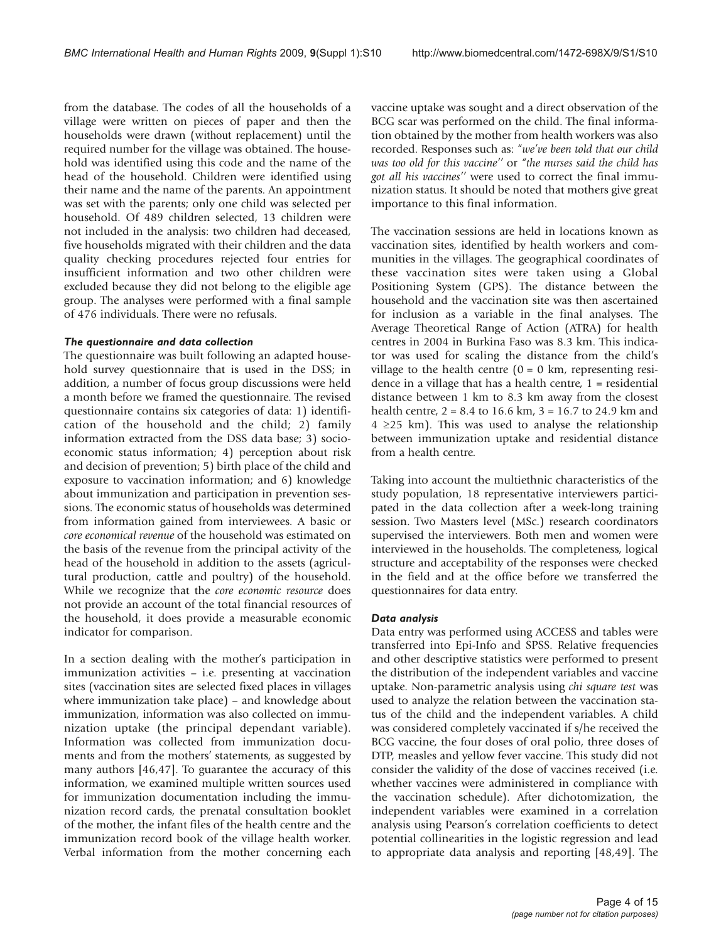from the database. The codes of all the households of a village were written on pieces of paper and then the households were drawn (without replacement) until the required number for the village was obtained. The household was identified using this code and the name of the head of the household. Children were identified using their name and the name of the parents. An appointment was set with the parents; only one child was selected per household. Of 489 children selected, 13 children were not included in the analysis: two children had deceased, five households migrated with their children and the data quality checking procedures rejected four entries for insufficient information and two other children were excluded because they did not belong to the eligible age group. The analyses were performed with a final sample of 476 individuals. There were no refusals.

#### *The questionnaire and data collection*

The questionnaire was built following an adapted household survey questionnaire that is used in the DSS; in addition, a number of focus group discussions were held a month before we framed the questionnaire. The revised questionnaire contains six categories of data: 1) identification of the household and the child; 2) family information extracted from the DSS data base; 3) socioeconomic status information; 4) perception about risk and decision of prevention; 5) birth place of the child and exposure to vaccination information; and 6) knowledge about immunization and participation in prevention sessions. The economic status of households was determined from information gained from interviewees. A basic or *core economical revenue* of the household was estimated on the basis of the revenue from the principal activity of the head of the household in addition to the assets (agricultural production, cattle and poultry) of the household. While we recognize that the *core economic resource* does not provide an account of the total financial resources of the household, it does provide a measurable economic indicator for comparison.

In a section dealing with the mother's participation in immunization activities – i.e. presenting at vaccination sites (vaccination sites are selected fixed places in villages where immunization take place) – and knowledge about immunization, information was also collected on immunization uptake (the principal dependant variable). Information was collected from immunization documents and from the mothers' statements, as suggested by many authors [46,47]. To guarantee the accuracy of this information, we examined multiple written sources used for immunization documentation including the immunization record cards, the prenatal consultation booklet of the mother, the infant files of the health centre and the immunization record book of the village health worker. Verbal information from the mother concerning each vaccine uptake was sought and a direct observation of the BCG scar was performed on the child. The final information obtained by the mother from health workers was also recorded. Responses such as: "*we've been told that our child was too old for this vaccine''* or *"the nurses said the child has got all his vaccines''* were used to correct the final immunization status. It should be noted that mothers give great importance to this final information.

The vaccination sessions are held in locations known as vaccination sites, identified by health workers and communities in the villages. The geographical coordinates of these vaccination sites were taken using a Global Positioning System (GPS). The distance between the household and the vaccination site was then ascertained for inclusion as a variable in the final analyses. The Average Theoretical Range of Action (ATRA) for health centres in 2004 in Burkina Faso was 8.3 km. This indicator was used for scaling the distance from the child's village to the health centre  $(0 = 0 \text{ km}$ , representing residence in a village that has a health centre, 1 = residential distance between 1 km to 8.3 km away from the closest health centre, 2 = 8.4 to 16.6 km, 3 = 16.7 to 24.9 km and  $4 \geq 25$  km). This was used to analyse the relationship between immunization uptake and residential distance from a health centre.

Taking into account the multiethnic characteristics of the study population, 18 representative interviewers participated in the data collection after a week-long training session. Two Masters level (MSc.) research coordinators supervised the interviewers. Both men and women were interviewed in the households. The completeness, logical structure and acceptability of the responses were checked in the field and at the office before we transferred the questionnaires for data entry.

#### *Data analysis*

Data entry was performed using ACCESS and tables were transferred into Epi-Info and SPSS. Relative frequencies and other descriptive statistics were performed to present the distribution of the independent variables and vaccine uptake. Non-parametric analysis using *chi square test* was used to analyze the relation between the vaccination status of the child and the independent variables. A child was considered completely vaccinated if s/he received the BCG vaccine, the four doses of oral polio, three doses of DTP, measles and yellow fever vaccine. This study did not consider the validity of the dose of vaccines received (i.e. whether vaccines were administered in compliance with the vaccination schedule). After dichotomization, the independent variables were examined in a correlation analysis using Pearson's correlation coefficients to detect potential collinearities in the logistic regression and lead to appropriate data analysis and reporting [48,49]. The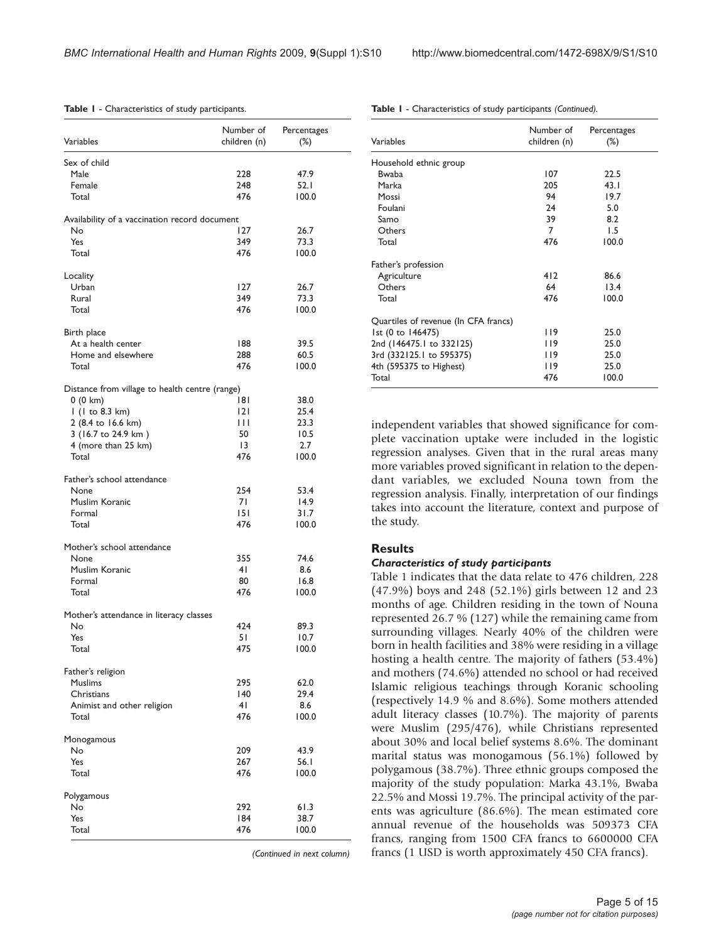| Variables                                      | Number of<br>children (n) | Percentages<br>$(\%)$ |
|------------------------------------------------|---------------------------|-----------------------|
| Sex of child                                   |                           |                       |
| Male                                           | 228                       | 47.9                  |
| Female                                         | 248                       | 52.1                  |
| Total                                          | 476                       | 100.0                 |
| Availability of a vaccination record document  |                           |                       |
| No                                             | 127                       | 26.7                  |
| Yes                                            | 349                       | 73.3                  |
| Total                                          | 476                       | 100.0                 |
| Locality                                       |                           |                       |
| Urban                                          | 127                       | 26.7                  |
| Rural                                          | 349                       | 73.3                  |
| Total                                          | 476                       | 100.0                 |
| Birth place                                    |                           |                       |
| At a health center                             | 188                       | 39.5                  |
| Home and elsewhere                             | 288                       | 60.5                  |
| Total                                          | 476                       | 100.0                 |
| Distance from village to health centre (range) |                           |                       |
| 0(0 km)                                        | 181                       | 38.0                  |
| $1$ (1 to 8.3 km)                              | 2                         | 25.4                  |
| 2 (8.4 to 16.6 km)                             | Ш                         | 23.3                  |
| 3 (16.7 to 24.9 km)                            | 50                        | 10.5                  |
| 4 (more than 25 km)                            | $\overline{13}$           | 2.7                   |
| Total                                          | 476                       | 100.0                 |
| Father's school attendance                     |                           |                       |
| None                                           | 254                       | 53.4                  |
| Muslim Koranic                                 | 71                        | 14.9                  |
| Formal                                         | 151                       | 31.7                  |
| Total                                          | 476                       | 100.0                 |
| Mother's school attendance                     |                           |                       |
| None                                           | 355                       | 74.6                  |
| Muslim Koranic                                 | 41                        | 8.6                   |
| Formal                                         | 80                        | 16.8                  |
| Total                                          | 476                       | 100.0                 |
| Mother's attendance in literacy classes        |                           |                       |
| No                                             | 424                       | 89.3                  |
| Yes                                            | 51                        | 10.7                  |
| Total                                          | 475                       | 100.0                 |
| Father's religion                              |                           |                       |
| <b>Muslims</b>                                 | 295                       | 62.0                  |
| Christians                                     | 140                       | 29.4                  |
| Animist and other religion                     | 41                        | 8.6                   |
| Total                                          | 476                       | 100.0                 |
| Monogamous                                     |                           |                       |
| No                                             | 209                       | 43.9                  |
| Yes                                            | 267                       | 56.I                  |
| Total                                          | 476                       | 100.0                 |
| Polygamous                                     |                           |                       |
| No                                             | 292                       | 61.3                  |
| Yes                                            | 184                       | 38.7                  |
| Total                                          | 476                       | 100.0                 |
|                                                |                           |                       |

**Table 1** - Characteristics of study participants.

*(Continued in next column)*

| Variables                            | Number of<br>children (n) | Percentages<br>$(\%)$ |
|--------------------------------------|---------------------------|-----------------------|
| Household ethnic group               |                           |                       |
| <b>Bwaba</b>                         | 107                       | 22.5                  |
| Marka                                | 205                       | 43.1                  |
| Mossi                                | 94                        | 19.7                  |
| Foulani                              | 24                        | 5.0                   |
| Samo                                 | 39                        | 8.2                   |
| Others                               | 7                         | 1.5                   |
| Total                                | 476                       | 100.0                 |
| Father's profession                  |                           |                       |
| Agriculture                          | 412                       | 86.6                  |
| Others                               | 64                        | 13.4                  |
| Total                                | 476                       | 100.0                 |
| Quartiles of revenue (In CFA francs) |                           |                       |
| 1st (0 to 146475)                    | 119                       | 25.0                  |
| 2nd (146475.1 to 332125)             | 119                       | 25.0                  |
| 3rd (332125.1 to 595375)             | 119                       | 25.0                  |
| 4th (595375 to Highest)              | 119                       | 25.0                  |
| Total                                | 476                       | 100.0                 |

**Table 1** - Characteristics of study participants *(Continued).*

independent variables that showed significance for complete vaccination uptake were included in the logistic regression analyses. Given that in the rural areas many more variables proved significant in relation to the dependant variables, we excluded Nouna town from the regression analysis. Finally, interpretation of our findings takes into account the literature, context and purpose of the study.

## **Results**

#### *Characteristics of study participants*

Table 1 indicates that the data relate to 476 children, 228 (47.9%) boys and 248 (52.1%) girls between 12 and 23 months of age. Children residing in the town of Nouna represented 26.7 % (127) while the remaining came from surrounding villages. Nearly 40% of the children were born in health facilities and 38% were residing in a village hosting a health centre. The majority of fathers (53.4%) and mothers (74.6%) attended no school or had received Islamic religious teachings through Koranic schooling (respectively 14.9 % and 8.6%). Some mothers attended adult literacy classes (10.7%). The majority of parents were Muslim (295/476), while Christians represented about 30% and local belief systems 8.6%. The dominant marital status was monogamous (56.1%) followed by polygamous (38.7%). Three ethnic groups composed the majority of the study population: Marka 43.1%, Bwaba 22.5% and Mossi 19.7%. The principal activity of the parents was agriculture (86.6%). The mean estimated core annual revenue of the households was 509373 CFA francs, ranging from 1500 CFA francs to 6600000 CFA francs (1 USD is worth approximately 450 CFA francs).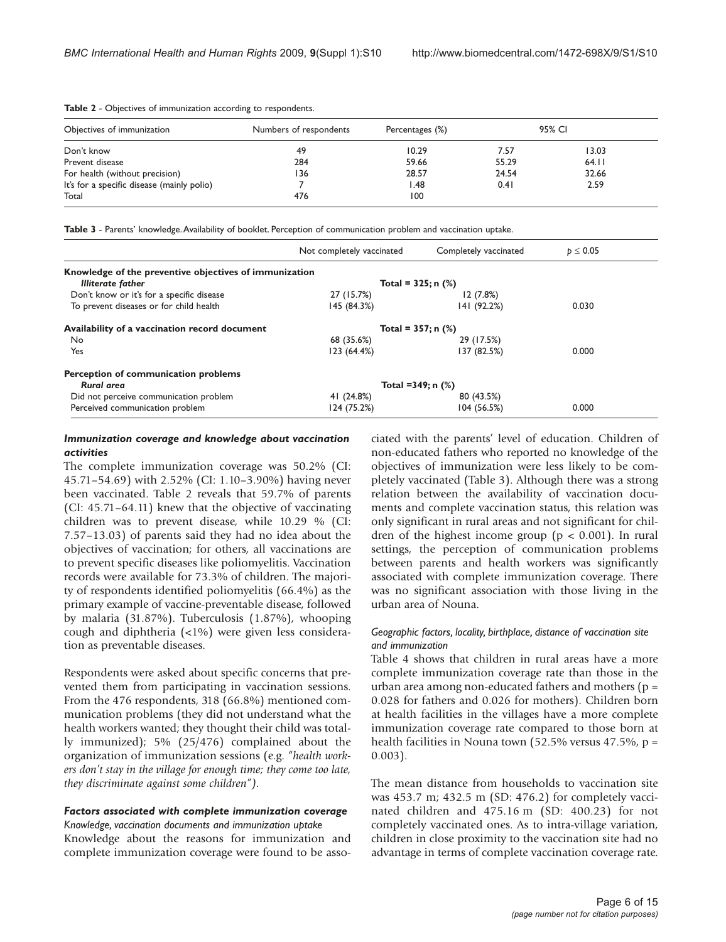|  |  |  |  | Table 2 - Objectives of immunization according to respondents. |  |  |  |
|--|--|--|--|----------------------------------------------------------------|--|--|--|
|--|--|--|--|----------------------------------------------------------------|--|--|--|

| Objectives of immunization                 | Numbers of respondents | Percentages (%) |       | 95% CI |
|--------------------------------------------|------------------------|-----------------|-------|--------|
| Don't know                                 | 49                     | 10.29           | 7.57  | 13.03  |
| Prevent disease                            | 284                    | 59.66           | 55.29 | 64.11  |
| For health (without precision)             | 136                    | 28.57           | 24.54 | 32.66  |
| It's for a specific disease (mainly polio) |                        | l.48            | 0.41  | 2.59   |
| Total                                      | 476                    | 100             |       |        |

**Table 3** - Parents' knowledge.Availability of booklet. Perception of communication problem and vaccination uptake.

|                                                        | Not completely vaccinated | Completely vaccinated | $p \leq 0.05$ |  |
|--------------------------------------------------------|---------------------------|-----------------------|---------------|--|
| Knowledge of the preventive objectives of immunization |                           |                       |               |  |
| <b>Illiterate father</b>                               | Total = $325$ ; n $(\%)$  |                       |               |  |
| Don't know or it's for a specific disease              | 27 (15.7%)                | 12(7.8%)              |               |  |
| To prevent diseases or for child health                | 145 (84.3%)               | 141 (92.2%)           | 0.030         |  |
| Availability of a vaccination record document          | Total = $357$ ; n $(\%)$  |                       |               |  |
| No.                                                    | 68 (35.6%)                | 29 (17.5%)            |               |  |
| Yes                                                    | 123 (64.4%)               | 137 (82.5%)           | 0.000         |  |
| Perception of communication problems                   |                           |                       |               |  |
| Rural area                                             | Total = $349$ ; n $(\%)$  |                       |               |  |
| Did not perceive communication problem                 | 41 (24.8%)                | 80 (43.5%)            |               |  |
| Perceived communication problem                        | 124 (75.2%)               | 104 (56.5%)           | 0.000         |  |

#### *Immunization coverage and knowledge about vaccination activities*

The complete immunization coverage was 50.2% (CI: 45.71–54.69) with 2.52% (CI: 1.10–3.90%) having never been vaccinated. Table 2 reveals that 59.7% of parents (CI: 45.71–64.11) knew that the objective of vaccinating children was to prevent disease, while 10.29 % (CI: 7.57–13.03) of parents said they had no idea about the objectives of vaccination; for others, all vaccinations are to prevent specific diseases like poliomyelitis. Vaccination records were available for 73.3% of children. The majority of respondents identified poliomyelitis (66.4%) as the primary example of vaccine-preventable disease, followed by malaria (31.87%). Tuberculosis (1.87%), whooping cough and diphtheria (<1%) were given less consideration as preventable diseases.

Respondents were asked about specific concerns that prevented them from participating in vaccination sessions. From the 476 respondents, 318 (66.8%) mentioned communication problems (they did not understand what the health workers wanted; they thought their child was totally immunized); 5% (25/476) complained about the organization of immunization sessions (e.g. "*health workers don't stay in the village for enough time; they come too late, they discriminate against some children").* 

# *Factors associated with complete immunization coverage*

*Knowledge, vaccination documents and immunization uptake* Knowledge about the reasons for immunization and complete immunization coverage were found to be associated with the parents' level of education. Children of non-educated fathers who reported no knowledge of the objectives of immunization were less likely to be completely vaccinated (Table 3). Although there was a strong relation between the availability of vaccination documents and complete vaccination status, this relation was only significant in rural areas and not significant for children of the highest income group (p < 0.001). In rural settings, the perception of communication problems between parents and health workers was significantly associated with complete immunization coverage. There was no significant association with those living in the urban area of Nouna.

# *Geographic factors, locality, birthplace, distance of vaccination site and immunization*

Table 4 shows that children in rural areas have a more complete immunization coverage rate than those in the urban area among non-educated fathers and mothers (p = 0.028 for fathers and 0.026 for mothers). Children born at health facilities in the villages have a more complete immunization coverage rate compared to those born at health facilities in Nouna town (52.5% versus 47.5%, p = 0.003).

The mean distance from households to vaccination site was 453.7 m; 432.5 m (SD: 476.2) for completely vaccinated children and 475.16 m (SD: 400.23) for not completely vaccinated ones. As to intra-village variation, children in close proximity to the vaccination site had no advantage in terms of complete vaccination coverage rate.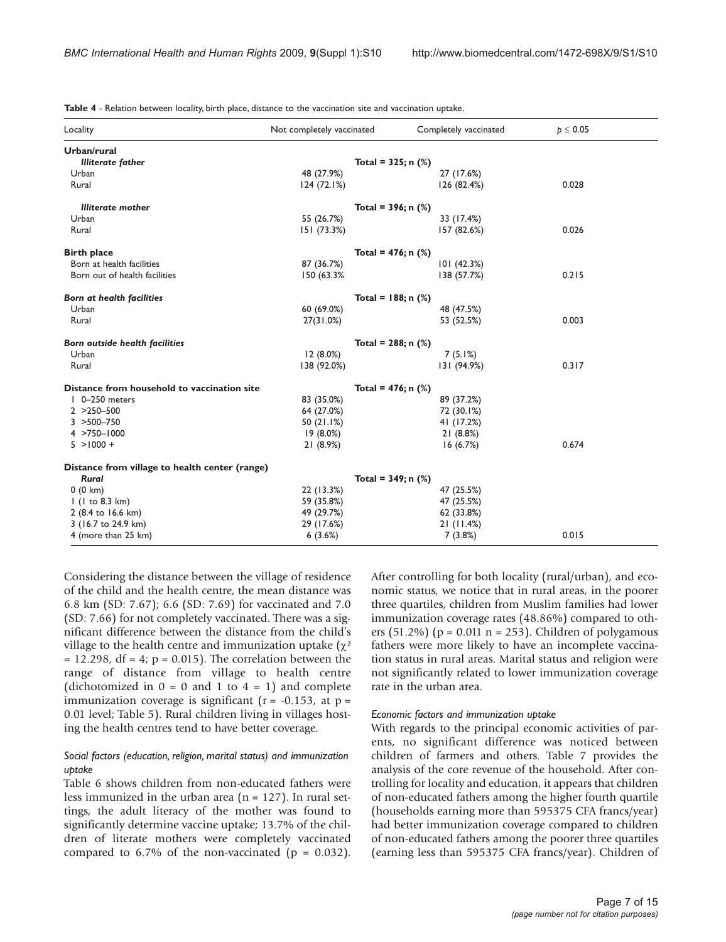**Table 4** - Relation between locality, birth place, distance to the vaccination site and vaccination uptake.

| Locality                                       | Not completely vaccinated | Completely vaccinated | $p \leq 0.05$ |
|------------------------------------------------|---------------------------|-----------------------|---------------|
| Urban/rural                                    |                           |                       |               |
| <b>Illiterate</b> father                       |                           | Total = $325; n$ (%)  |               |
| Urban                                          | 48 (27.9%)                | 27 (17.6%)            |               |
| Rural                                          | 124(72.1%)                | 126 (82.4%)           | 0.028         |
| <b>Illiterate mother</b>                       | Total = $396$ ; n $(\%)$  |                       |               |
| Urban                                          | 55 (26.7%)                | 33 (17.4%)            |               |
| Rural                                          | 151(73.3%)                | 157 (82.6%)           | 0.026         |
| <b>Birth place</b>                             |                           | Total = $476; n$ (%)  |               |
| Born at health facilities                      | 87 (36.7%)                | 101(42.3%)            |               |
| Born out of health facilities                  | 150 (63.3%)               | 138 (57.7%)           | 0.215         |
| Born at health facilities                      | Total = $188; n$ (%)      |                       |               |
| Urban                                          | 60 (69.0%)                | 48 (47.5%)            |               |
| Rural                                          | 27(31.0%)                 | 53 (52.5%)            | 0.003         |
| Born outside health facilities                 | Total = $288; n$ (%)      |                       |               |
| Urban                                          | 12 (8.0%)                 | 7(5.1%)               |               |
| Rural                                          | 138 (92.0%)               | 131 (94.9%)           | 0.317         |
| Distance from household to vaccination site    | Total = $476$ ; n $(\%)$  |                       |               |
| $1$ 0-250 meters                               | 83 (35.0%)                | 89 (37.2%)            |               |
| $2 > 250 - 500$                                | 64 (27.0%)                | 72 (30.1%)            |               |
| $3 > 500 - 750$                                | 50 (21.1%)                | 41 (17.2%)            |               |
| $4 > 750 - 1000$                               | 19(8.0%)                  | 21(8.8%)              |               |
| $5 > 1000 +$                                   | 21 (8.9%)                 | 16(6.7%)              | 0.674         |
| Distance from village to health center (range) |                           |                       |               |
| <b>Rural</b>                                   | Total = $349; n$ (%)      |                       |               |
| 0(0 km)                                        | 22 (13.3%)                | 47 (25.5%)            |               |
| $1$ (1 to 8.3 km)                              | 59 (35.8%)                | 47 (25.5%)            |               |
| 2 (8.4 to 16.6 km)                             | 49 (29.7%)                | 62 (33.8%)            |               |
| 3 (16.7 to 24.9 km)                            | 29 (17.6%)                | 21(11.4%)             |               |
| 4 (more than 25 km)                            | 6(3.6%)                   | 7(3.8%)               | 0.015         |

Considering the distance between the village of residence of the child and the health centre, the mean distance was 6.8 km (SD: 7.67); 6.6 (SD: 7.69) for vaccinated and 7.0 (SD: 7.66) for not completely vaccinated. There was a significant difference between the distance from the child's village to the health centre and immunization uptake ( $χ²$  $= 12.298$ , df  $= 4$ ; p  $= 0.015$ ). The correlation between the range of distance from village to health centre (dichotomized in  $0 = 0$  and 1 to  $4 = 1$ ) and complete immunization coverage is significant ( $r = -0.153$ , at  $p =$ 0.01 level; Table 5). Rural children living in villages hosting the health centres tend to have better coverage.

#### *Social factors (education, religion, marital status) and immunization uptake*

Table 6 shows children from non-educated fathers were less immunized in the urban area ( $n = 127$ ). In rural settings, the adult literacy of the mother was found to significantly determine vaccine uptake; 13.7% of the children of literate mothers were completely vaccinated compared to  $6.7\%$  of the non-vaccinated ( $p = 0.032$ ). After controlling for both locality (rural/urban), and economic status, we notice that in rural areas, in the poorer three quartiles, children from Muslim families had lower immunization coverage rates (48.86%) compared to others (51.2%) (p = 0.011 n = 253). Children of polygamous fathers were more likely to have an incomplete vaccination status in rural areas. Marital status and religion were not significantly related to lower immunization coverage rate in the urban area.

#### *Economic factors and immunization uptake*

With regards to the principal economic activities of parents, no significant difference was noticed between children of farmers and others. Table 7 provides the analysis of the core revenue of the household. After controlling for locality and education, it appears that children of non-educated fathers among the higher fourth quartile (households earning more than 595375 CFA francs/year) had better immunization coverage compared to children of non-educated fathers among the poorer three quartiles (earning less than 595375 CFA francs/year). Children of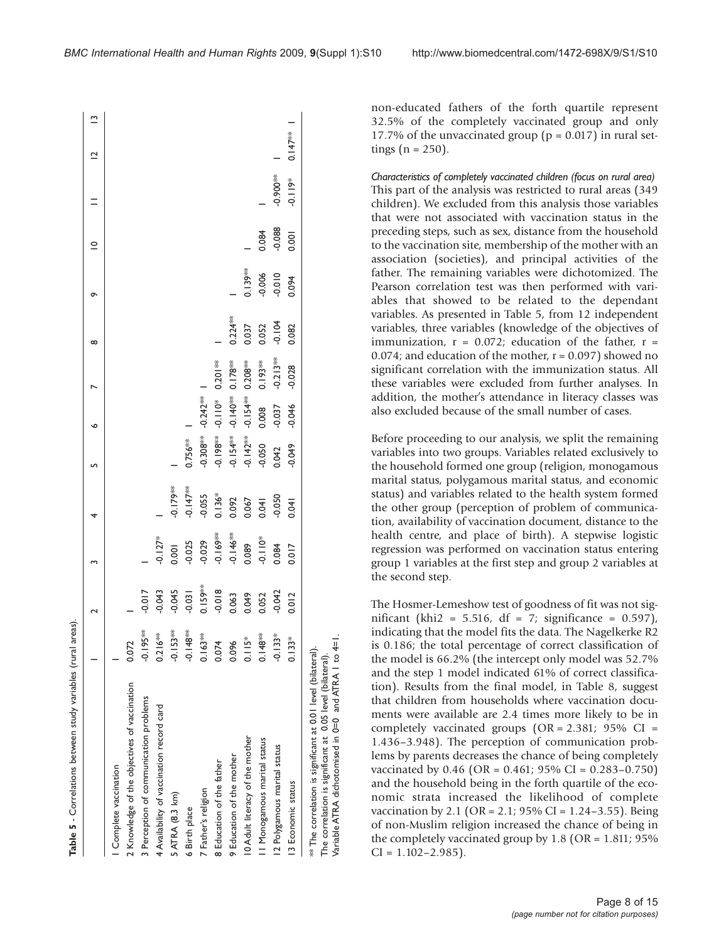|                                              |                       |                   |                                                                          |            | LN          | ∾           |                       | ∞         | ᡡ       | $\subseteq$ |            | $\tilde{c}$<br>$\overline{a}$ |
|----------------------------------------------|-----------------------|-------------------|--------------------------------------------------------------------------|------------|-------------|-------------|-----------------------|-----------|---------|-------------|------------|-------------------------------|
|                                              |                       |                   |                                                                          |            |             |             |                       |           |         |             |            |                               |
| Complete vaccination                         |                       |                   |                                                                          |            |             |             |                       |           |         |             |            |                               |
| 2 Knowledge of the objectives of vaccination | 0.072                 |                   |                                                                          |            |             |             |                       |           |         |             |            |                               |
| 3 Perception of communication problems       | $95**$<br>್           | 0.017             |                                                                          |            |             |             |                       |           |         |             |            |                               |
| 4 Availability of vaccination record card    | 16**<br>$\bar{\rm s}$ | 0.043             | $0.127*$                                                                 |            |             |             |                       |           |         |             |            |                               |
| 5 ATRA (8.3 km)                              | $153**$<br>Ş          | $-0.045$          | 1001                                                                     | $-0.179**$ |             |             |                       |           |         |             |            |                               |
| 6 Birth place                                | 148**<br>ᅙ            | $-0.031$          |                                                                          | $-0.147**$ | $0.756***$  |             |                       |           |         |             |            |                               |
| 7 Father's religion                          | $0.163**$             | $0.159***$        |                                                                          | $-0.055$   | $-0.308***$ | $-0.242***$ |                       |           |         |             |            |                               |
| 8 Education of the father                    | 0.074                 |                   | $-0.025$<br>$-0.029$<br>$-0.169$ <sup>**</sup><br>$-0.146$ <sup>**</sup> | $0.136*$   | $-0.198**$  | $-0.110*$   | $0.201**$             |           |         |             |            |                               |
| 9 Education of the mother                    | 0.096                 | $-0.018$<br>0.063 |                                                                          | 0.092      | $-0.154***$ | $-0.140**$  | $0.178$ <sup>**</sup> | $0.224**$ |         |             |            |                               |
| 10 Adult literacy of the mother              | $\frac{1}{2}$         | 0.049             |                                                                          | 0.067      |             | $-0.154**$  | $0.208$ <sup>**</sup> | 0.037     | 0.139** |             |            |                               |
| I Monogamous marital status                  | $0.148**$             | 0.052             | $0.089$<br>$-0.110*$                                                     | 0.041      | $-0.142***$ | 0.008       | $0.193**$             | 0.052     |         | 0.084       |            |                               |
| 12 Polygamous marital status                 | $33*$<br>Ģ            | 0.042             | 0.084                                                                    | $-0.050$   | 0.042       | 0.037       | $-0.213**$            | $-0.104$  | 0.006   | $-0.088$    | $-0.900**$ |                               |
| 13 Economic status                           | $0.133*$              | 0.012             | 0.017                                                                    | 0.041      | 0.049       | 0.046       | $-0.028$              | 0.082     | 0.094   | 0.001       | $-0.119*$  | $0.147***$                    |

The correlation is significant at 0.05 level (bilateral). Variable ATRA dichotomised in 0=0 and ATRA 1 to 4=1.

The

/ariable ATRA dichotomised in 0=0 and ATRA 1 to 4=1. correlation is significant at 0.05 level (bilateral).

non-educated fathers of the forth quartile represent 32.5% of the completely vaccinated group and only 17.7% of the unvaccinated group ( $p = 0.017$ ) in rural settings ( $n = 250$ ).

*Characteristics of completely vaccinated children (focus on rural area)* This part of the analysis was restricted to rural areas (349 children). We excluded from this analysis those variables that were not associated with vaccination status in the preceding steps, such as sex, distance from the household to the vaccination site, membership of the mother with an association (societies), and principal activities of the father. The remaining variables were dichotomized. The Pearson correlation test was then performed with variables that showed to be related to the dependant variables. As presented in Table 5, from 12 independent variables, three variables (knowledge of the objectives of immunization,  $r = 0.072$ ; education of the father,  $r =$ 0.074; and education of the mother, r = 0.097) showed no significant correlation with the immunization status. All these variables were excluded from further analyses. In addition, the mother's attendance in literacy classes was also excluded because of the small number of cases.

Before proceeding to our analysis, we split the remaining variables into two groups. Variables related exclusively to the household formed one group (religion, monogamous marital status, polygamous marital status, and economic status) and variables related to the health system formed the other group (perception of problem of communication, availability of vaccination document, distance to the health centre, and place of birth). A stepwise logistic regression was performed on vaccination status entering group 1 variables at the first step and group 2 variables at the second step.

The Hosmer-Lemeshow test of goodness of fit was not significant (khi2 = 5.516, df = 7; significance =  $0.597$ ), indicating that the model fits the data. The Nagelkerke R2 is 0.186; the total percentage of correct classification of the model is 66.2% (the intercept only model was 52.7% and the step 1 model indicated 61% of correct classification). Results from the final model, in Table 8, suggest that children from households where vaccination documents were available are 2.4 times more likely to be in completely vaccinated groups  $(OR = 2.381; 95\% \text{ CI} =$ 1.436–3.948). The perception of communication problems by parents decreases the chance of being completely vaccinated by 0.46 (OR = 0.461; 95% CI = 0.283–0.750) and the household being in the forth quartile of the economic strata increased the likelihood of complete vaccination by 2.1 (OR = 2.1; 95% CI = 1.24–3.55). Being of non-Muslim religion increased the chance of being in the completely vaccinated group by  $1.8$  (OR =  $1.811$ ;  $95\%$ )  $CI = 1.102 - 2.985$ .

 $\overline{\phantom{a}}$ 

 $\lfloor n \rfloor$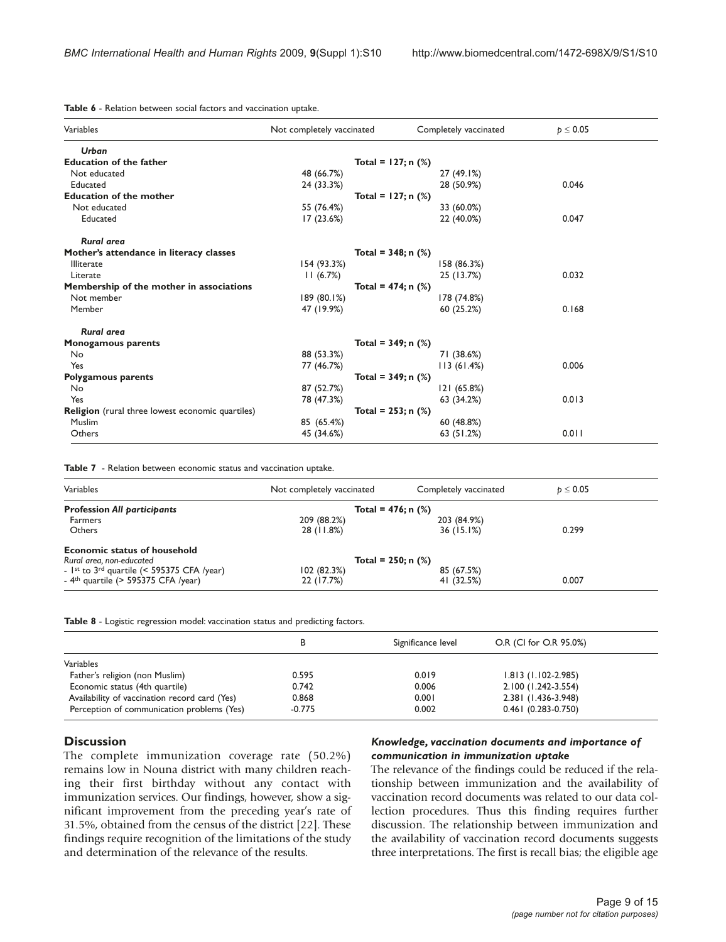**Table 6** - Relation between social factors and vaccination uptake.

| Variables                                               | Not completely vaccinated | Completely vaccinated    | $p \leq 0.05$ |
|---------------------------------------------------------|---------------------------|--------------------------|---------------|
| <b>Urban</b>                                            |                           |                          |               |
| <b>Education of the father</b>                          |                           | Total = $127; n$ (%)     |               |
| Not educated                                            | 48 (66.7%)                | 27 (49.1%)               |               |
| Educated                                                | 24 (33.3%)                | 28 (50.9%)               | 0.046         |
| <b>Education of the mother</b>                          |                           | Total = $127; n$ (%)     |               |
| Not educated                                            | 55 (76.4%)                | 33 (60.0%)               |               |
| Educated                                                | 17(23.6%)                 | 22 (40.0%)               | 0.047         |
| <b>Rural</b> area                                       |                           |                          |               |
| Mother's attendance in literacy classes                 |                           | Total = $348; n$ (%)     |               |
| Illiterate                                              | 154 (93.3%)               | 158 (86.3%)              |               |
| Literate                                                | 11(6.7%)                  | 25 (13.7%)               | 0.032         |
| Membership of the mother in associations                |                           | Total = $474$ ; n $(\%)$ |               |
| Not member                                              | 189 (80.1%)               | 178 (74.8%)              |               |
| Member                                                  | 47 (19.9%)                | 60 (25.2%)               | 0.168         |
| <b>Rural</b> area                                       |                           |                          |               |
| <b>Monogamous parents</b>                               |                           | Total = $349; n$ (%)     |               |
| No                                                      | 88 (53.3%)                | 71 (38.6%)               |               |
| Yes                                                     | 77 (46.7%)                | 113(61.4%)               | 0.006         |
| Polygamous parents                                      |                           | Total = $349; n$ (%)     |               |
| No                                                      | 87 (52.7%)                | 121 (65.8%)              |               |
| Yes                                                     | 78 (47.3%)                | 63 (34.2%)               | 0.013         |
| <b>Religion</b> (rural three lowest economic quartiles) |                           | Total = $253; n$ (%)     |               |
| Muslim                                                  | 85 (65.4%)                | 60 (48.8%)               |               |
| Others                                                  | 45 (34.6%)                | 63 (51.2%)               | 0.011         |

**Table 7** - Relation between economic status and vaccination uptake.

| Variables                                      | Not completely vaccinated | Completely vaccinated | $b \leq 0.05$ |  |
|------------------------------------------------|---------------------------|-----------------------|---------------|--|
| <b>Profession All participants</b>             | Total = $476$ ; n $(\%)$  |                       |               |  |
| <b>Farmers</b>                                 | 209 (88.2%)               | 203 (84.9%)           |               |  |
| Others                                         | 28 (11.8%)                | 36(15.1%)             | 0.299         |  |
| <b>Economic status of household</b>            |                           |                       |               |  |
| Rural area, non-educated                       | Total = $250; n$ (%)      |                       |               |  |
| - $Ist$ to $3rd$ quartile (< 595375 CFA /year) | 102(82.3%)                | 85 (67.5%)            |               |  |
| - $4th$ quartile (> 595375 CFA /year)          | 22 (17.7%)                | 41 (32.5%)            | 0.007         |  |

**Table 8** - Logistic regression model: vaccination status and predicting factors.

|                                               |          | Significance level | O.R (CI for O.R 95.0%) |
|-----------------------------------------------|----------|--------------------|------------------------|
| Variables                                     |          |                    |                        |
| Father's religion (non Muslim)                | 0.595    | 0.019              | $1.813(1.102 - 2.985)$ |
| Economic status (4th quartile)                | 0.742    | 0.006              | 2.100 (1.242-3.554)    |
| Availability of vaccination record card (Yes) | 0.868    | 0.001              | 2.381 (1.436-3.948)    |
| Perception of communication problems (Yes)    | $-0.775$ | 0.002              | $0.461(0.283 - 0.750)$ |

## **Discussion**

The complete immunization coverage rate (50.2%) remains low in Nouna district with many children reaching their first birthday without any contact with immunization services. Our findings, however, show a significant improvement from the preceding year's rate of 31.5%, obtained from the census of the district [22]. These findings require recognition of the limitations of the study and determination of the relevance of the results.

# *Knowledge, vaccination documents and importance of communication in immunization uptake*

The relevance of the findings could be reduced if the relationship between immunization and the availability of vaccination record documents was related to our data collection procedures. Thus this finding requires further discussion. The relationship between immunization and the availability of vaccination record documents suggests three interpretations. The first is recall bias; the eligible age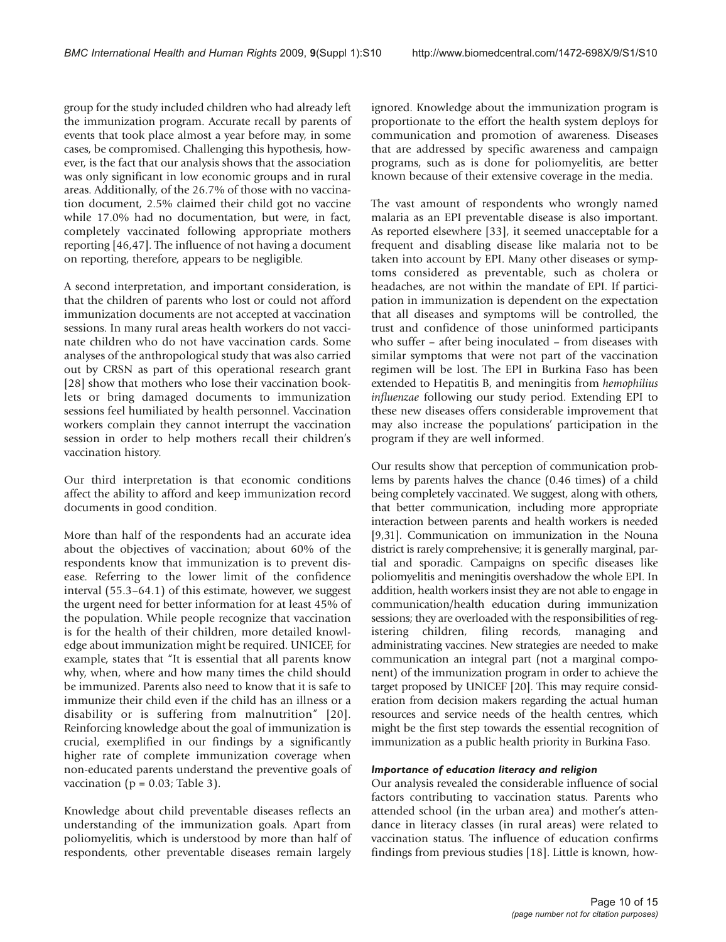group for the study included children who had already left the immunization program. Accurate recall by parents of events that took place almost a year before may, in some cases, be compromised. Challenging this hypothesis, however, is the fact that our analysis shows that the association was only significant in low economic groups and in rural areas. Additionally, of the 26.7% of those with no vaccination document, 2.5% claimed their child got no vaccine while 17.0% had no documentation, but were, in fact, completely vaccinated following appropriate mothers reporting [46,47]. The influence of not having a document on reporting, therefore, appears to be negligible.

A second interpretation, and important consideration, is that the children of parents who lost or could not afford immunization documents are not accepted at vaccination sessions. In many rural areas health workers do not vaccinate children who do not have vaccination cards. Some analyses of the anthropological study that was also carried out by CRSN as part of this operational research grant [28] show that mothers who lose their vaccination booklets or bring damaged documents to immunization sessions feel humiliated by health personnel. Vaccination workers complain they cannot interrupt the vaccination session in order to help mothers recall their children's vaccination history.

Our third interpretation is that economic conditions affect the ability to afford and keep immunization record documents in good condition.

More than half of the respondents had an accurate idea about the objectives of vaccination; about 60% of the respondents know that immunization is to prevent disease. Referring to the lower limit of the confidence interval (55.3–64.1) of this estimate, however, we suggest the urgent need for better information for at least 45% of the population. While people recognize that vaccination is for the health of their children, more detailed knowledge about immunization might be required. UNICEF, for example, states that "It is essential that all parents know why, when, where and how many times the child should be immunized. Parents also need to know that it is safe to immunize their child even if the child has an illness or a disability or is suffering from malnutrition" [20]. Reinforcing knowledge about the goal of immunization is crucial, exemplified in our findings by a significantly higher rate of complete immunization coverage when non-educated parents understand the preventive goals of vaccination ( $p = 0.03$ ; Table 3).

Knowledge about child preventable diseases reflects an understanding of the immunization goals. Apart from poliomyelitis, which is understood by more than half of respondents, other preventable diseases remain largely ignored. Knowledge about the immunization program is proportionate to the effort the health system deploys for communication and promotion of awareness. Diseases that are addressed by specific awareness and campaign programs, such as is done for poliomyelitis, are better known because of their extensive coverage in the media.

The vast amount of respondents who wrongly named malaria as an EPI preventable disease is also important. As reported elsewhere [33], it seemed unacceptable for a frequent and disabling disease like malaria not to be taken into account by EPI. Many other diseases or symptoms considered as preventable, such as cholera or headaches, are not within the mandate of EPI. If participation in immunization is dependent on the expectation that all diseases and symptoms will be controlled, the trust and confidence of those uninformed participants who suffer – after being inoculated – from diseases with similar symptoms that were not part of the vaccination regimen will be lost. The EPI in Burkina Faso has been extended to Hepatitis B, and meningitis from *hemophilius influenzae* following our study period. Extending EPI to these new diseases offers considerable improvement that may also increase the populations' participation in the program if they are well informed.

Our results show that perception of communication problems by parents halves the chance (0.46 times) of a child being completely vaccinated. We suggest, along with others, that better communication, including more appropriate interaction between parents and health workers is needed [9,31]. Communication on immunization in the Nouna district is rarely comprehensive; it is generally marginal, partial and sporadic. Campaigns on specific diseases like poliomyelitis and meningitis overshadow the whole EPI. In addition, health workers insist they are not able to engage in communication/health education during immunization sessions; they are overloaded with the responsibilities of registering children, filing records, managing and administrating vaccines. New strategies are needed to make communication an integral part (not a marginal component) of the immunization program in order to achieve the target proposed by UNICEF [20]. This may require consideration from decision makers regarding the actual human resources and service needs of the health centres, which might be the first step towards the essential recognition of immunization as a public health priority in Burkina Faso.

# *Importance of education literacy and religion*

Our analysis revealed the considerable influence of social factors contributing to vaccination status. Parents who attended school (in the urban area) and mother's attendance in literacy classes (in rural areas) were related to vaccination status. The influence of education confirms findings from previous studies [18]. Little is known, how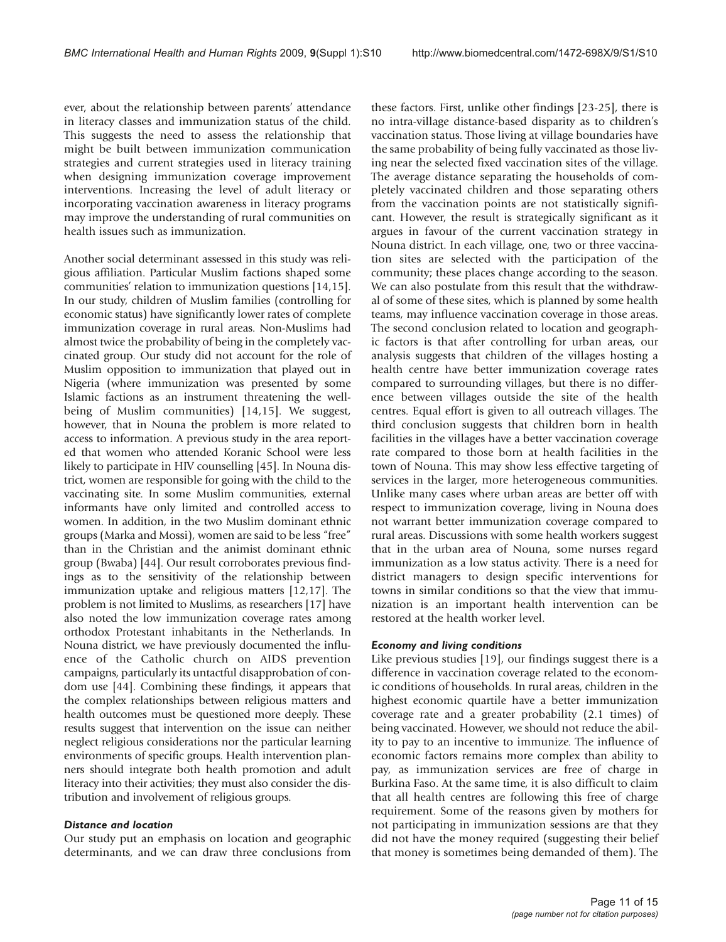ever, about the relationship between parents' attendance in literacy classes and immunization status of the child. This suggests the need to assess the relationship that might be built between immunization communication strategies and current strategies used in literacy training when designing immunization coverage improvement interventions. Increasing the level of adult literacy or incorporating vaccination awareness in literacy programs may improve the understanding of rural communities on health issues such as immunization.

Another social determinant assessed in this study was religious affiliation. Particular Muslim factions shaped some communities' relation to immunization questions [14,15]. In our study, children of Muslim families (controlling for economic status) have significantly lower rates of complete immunization coverage in rural areas. Non-Muslims had almost twice the probability of being in the completely vaccinated group. Our study did not account for the role of Muslim opposition to immunization that played out in Nigeria (where immunization was presented by some Islamic factions as an instrument threatening the wellbeing of Muslim communities) [14,15]. We suggest, however, that in Nouna the problem is more related to access to information. A previous study in the area reported that women who attended Koranic School were less likely to participate in HIV counselling [45]. In Nouna district, women are responsible for going with the child to the vaccinating site. In some Muslim communities, external informants have only limited and controlled access to women. In addition, in the two Muslim dominant ethnic groups (Marka and Mossi), women are said to be less "free" than in the Christian and the animist dominant ethnic group (Bwaba) [44]. Our result corroborates previous findings as to the sensitivity of the relationship between immunization uptake and religious matters [12,17]. The problem is not limited to Muslims, as researchers [17] have also noted the low immunization coverage rates among orthodox Protestant inhabitants in the Netherlands. In Nouna district, we have previously documented the influence of the Catholic church on AIDS prevention campaigns, particularly its untactful disapprobation of condom use [44]. Combining these findings, it appears that the complex relationships between religious matters and health outcomes must be questioned more deeply. These results suggest that intervention on the issue can neither neglect religious considerations nor the particular learning environments of specific groups. Health intervention planners should integrate both health promotion and adult literacy into their activities; they must also consider the distribution and involvement of religious groups.

#### *Distance and location*

Our study put an emphasis on location and geographic determinants, and we can draw three conclusions from

these factors. First, unlike other findings [23-25], there is no intra-village distance-based disparity as to children's vaccination status. Those living at village boundaries have the same probability of being fully vaccinated as those living near the selected fixed vaccination sites of the village. The average distance separating the households of completely vaccinated children and those separating others from the vaccination points are not statistically significant. However, the result is strategically significant as it argues in favour of the current vaccination strategy in Nouna district. In each village, one, two or three vaccination sites are selected with the participation of the community; these places change according to the season. We can also postulate from this result that the withdrawal of some of these sites, which is planned by some health teams, may influence vaccination coverage in those areas. The second conclusion related to location and geographic factors is that after controlling for urban areas, our analysis suggests that children of the villages hosting a health centre have better immunization coverage rates compared to surrounding villages, but there is no difference between villages outside the site of the health centres. Equal effort is given to all outreach villages. The third conclusion suggests that children born in health facilities in the villages have a better vaccination coverage rate compared to those born at health facilities in the town of Nouna. This may show less effective targeting of services in the larger, more heterogeneous communities. Unlike many cases where urban areas are better off with respect to immunization coverage, living in Nouna does not warrant better immunization coverage compared to rural areas. Discussions with some health workers suggest that in the urban area of Nouna, some nurses regard immunization as a low status activity. There is a need for district managers to design specific interventions for towns in similar conditions so that the view that immunization is an important health intervention can be restored at the health worker level.

#### *Economy and living conditions*

Like previous studies [19], our findings suggest there is a difference in vaccination coverage related to the economic conditions of households. In rural areas, children in the highest economic quartile have a better immunization coverage rate and a greater probability (2.1 times) of being vaccinated. However, we should not reduce the ability to pay to an incentive to immunize. The influence of economic factors remains more complex than ability to pay, as immunization services are free of charge in Burkina Faso. At the same time, it is also difficult to claim that all health centres are following this free of charge requirement. Some of the reasons given by mothers for not participating in immunization sessions are that they did not have the money required (suggesting their belief that money is sometimes being demanded of them). The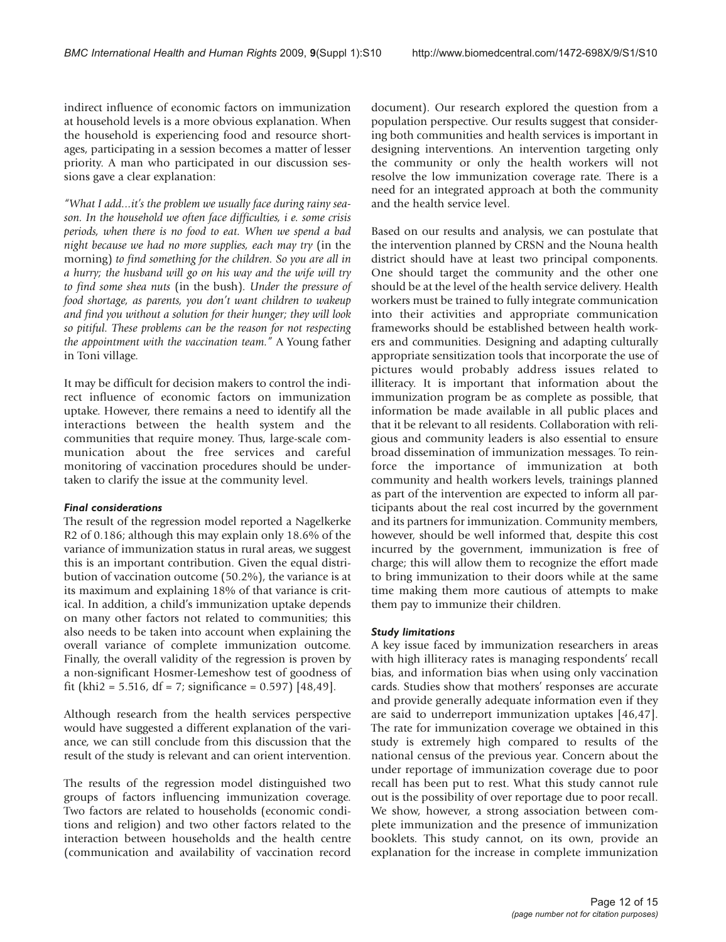indirect influence of economic factors on immunization at household levels is a more obvious explanation. When the household is experiencing food and resource shortages, participating in a session becomes a matter of lesser priority. A man who participated in our discussion sessions gave a clear explanation:

*"What I add...it's the problem we usually face during rainy season. In the household we often face difficulties, i e. some crisis periods, when there is no food to eat. When we spend a bad night because we had no more supplies, each may try* (in the morning) *to find something for the children. So you are all in a hurry; the husband will go on his way and the wife will try to find some shea nuts* (in the bush)*. Under the pressure of food shortage, as parents, you don't want children to wakeup and find you without a solution for their hunger; they will look so pitiful. These problems can be the reason for not respecting the appointment with the vaccination team."* A Young father in Toni village.

It may be difficult for decision makers to control the indirect influence of economic factors on immunization uptake. However, there remains a need to identify all the interactions between the health system and the communities that require money. Thus, large-scale communication about the free services and careful monitoring of vaccination procedures should be undertaken to clarify the issue at the community level.

## *Final considerations*

The result of the regression model reported a Nagelkerke R2 of 0.186; although this may explain only 18.6% of the variance of immunization status in rural areas, we suggest this is an important contribution. Given the equal distribution of vaccination outcome (50.2%), the variance is at its maximum and explaining 18% of that variance is critical. In addition, a child's immunization uptake depends on many other factors not related to communities; this also needs to be taken into account when explaining the overall variance of complete immunization outcome. Finally, the overall validity of the regression is proven by a non-significant Hosmer-Lemeshow test of goodness of fit (khi2 = 5.516, df = 7; significance =  $0.597$ ) [48,49].

Although research from the health services perspective would have suggested a different explanation of the variance, we can still conclude from this discussion that the result of the study is relevant and can orient intervention.

The results of the regression model distinguished two groups of factors influencing immunization coverage. Two factors are related to households (economic conditions and religion) and two other factors related to the interaction between households and the health centre (communication and availability of vaccination record

document). Our research explored the question from a population perspective. Our results suggest that considering both communities and health services is important in designing interventions. An intervention targeting only the community or only the health workers will not resolve the low immunization coverage rate. There is a need for an integrated approach at both the community and the health service level.

Based on our results and analysis, we can postulate that the intervention planned by CRSN and the Nouna health district should have at least two principal components. One should target the community and the other one should be at the level of the health service delivery. Health workers must be trained to fully integrate communication into their activities and appropriate communication frameworks should be established between health workers and communities. Designing and adapting culturally appropriate sensitization tools that incorporate the use of pictures would probably address issues related to illiteracy. It is important that information about the immunization program be as complete as possible, that information be made available in all public places and that it be relevant to all residents. Collaboration with religious and community leaders is also essential to ensure broad dissemination of immunization messages. To reinforce the importance of immunization at both community and health workers levels, trainings planned as part of the intervention are expected to inform all participants about the real cost incurred by the government and its partners for immunization. Community members, however, should be well informed that, despite this cost incurred by the government, immunization is free of charge; this will allow them to recognize the effort made to bring immunization to their doors while at the same time making them more cautious of attempts to make them pay to immunize their children.

## *Study limitations*

A key issue faced by immunization researchers in areas with high illiteracy rates is managing respondents' recall bias, and information bias when using only vaccination cards. Studies show that mothers' responses are accurate and provide generally adequate information even if they are said to underreport immunization uptakes [46,47]. The rate for immunization coverage we obtained in this study is extremely high compared to results of the national census of the previous year. Concern about the under reportage of immunization coverage due to poor recall has been put to rest. What this study cannot rule out is the possibility of over reportage due to poor recall. We show, however, a strong association between complete immunization and the presence of immunization booklets. This study cannot, on its own, provide an explanation for the increase in complete immunization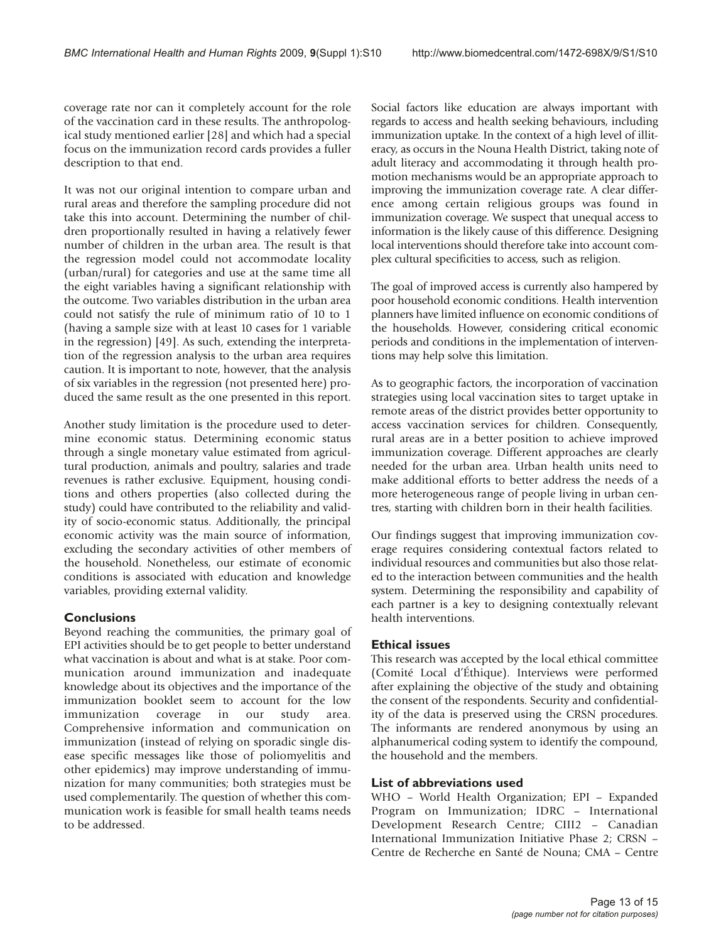coverage rate nor can it completely account for the role of the vaccination card in these results. The anthropological study mentioned earlier [28] and which had a special focus on the immunization record cards provides a fuller description to that end.

It was not our original intention to compare urban and rural areas and therefore the sampling procedure did not take this into account. Determining the number of children proportionally resulted in having a relatively fewer number of children in the urban area. The result is that the regression model could not accommodate locality (urban/rural) for categories and use at the same time all the eight variables having a significant relationship with the outcome. Two variables distribution in the urban area could not satisfy the rule of minimum ratio of 10 to 1 (having a sample size with at least 10 cases for 1 variable in the regression) [49]. As such, extending the interpretation of the regression analysis to the urban area requires caution. It is important to note, however, that the analysis of six variables in the regression (not presented here) produced the same result as the one presented in this report.

Another study limitation is the procedure used to determine economic status. Determining economic status through a single monetary value estimated from agricultural production, animals and poultry, salaries and trade revenues is rather exclusive. Equipment, housing conditions and others properties (also collected during the study) could have contributed to the reliability and validity of socio-economic status. Additionally, the principal economic activity was the main source of information, excluding the secondary activities of other members of the household. Nonetheless, our estimate of economic conditions is associated with education and knowledge variables, providing external validity.

# **Conclusions**

Beyond reaching the communities, the primary goal of EPI activities should be to get people to better understand what vaccination is about and what is at stake. Poor communication around immunization and inadequate knowledge about its objectives and the importance of the immunization booklet seem to account for the low immunization coverage in our study area. Comprehensive information and communication on immunization (instead of relying on sporadic single disease specific messages like those of poliomyelitis and other epidemics) may improve understanding of immunization for many communities; both strategies must be used complementarily. The question of whether this communication work is feasible for small health teams needs to be addressed.

Social factors like education are always important with regards to access and health seeking behaviours, including immunization uptake. In the context of a high level of illiteracy, as occurs in the Nouna Health District, taking note of adult literacy and accommodating it through health promotion mechanisms would be an appropriate approach to improving the immunization coverage rate. A clear difference among certain religious groups was found in immunization coverage. We suspect that unequal access to information is the likely cause of this difference. Designing local interventions should therefore take into account complex cultural specificities to access, such as religion.

The goal of improved access is currently also hampered by poor household economic conditions. Health intervention planners have limited influence on economic conditions of the households. However, considering critical economic periods and conditions in the implementation of interventions may help solve this limitation.

As to geographic factors, the incorporation of vaccination strategies using local vaccination sites to target uptake in remote areas of the district provides better opportunity to access vaccination services for children. Consequently, rural areas are in a better position to achieve improved immunization coverage. Different approaches are clearly needed for the urban area. Urban health units need to make additional efforts to better address the needs of a more heterogeneous range of people living in urban centres, starting with children born in their health facilities.

Our findings suggest that improving immunization coverage requires considering contextual factors related to individual resources and communities but also those related to the interaction between communities and the health system. Determining the responsibility and capability of each partner is a key to designing contextually relevant health interventions.

# **Ethical issues**

This research was accepted by the local ethical committee (Comité Local d'Éthique). Interviews were performed after explaining the objective of the study and obtaining the consent of the respondents. Security and confidentiality of the data is preserved using the CRSN procedures. The informants are rendered anonymous by using an alphanumerical coding system to identify the compound, the household and the members.

# **List of abbreviations used**

WHO – World Health Organization; EPI – Expanded Program on Immunization; IDRC – International Development Research Centre; CIII2 – Canadian International Immunization Initiative Phase 2; CRSN – Centre de Recherche en Santé de Nouna; CMA – Centre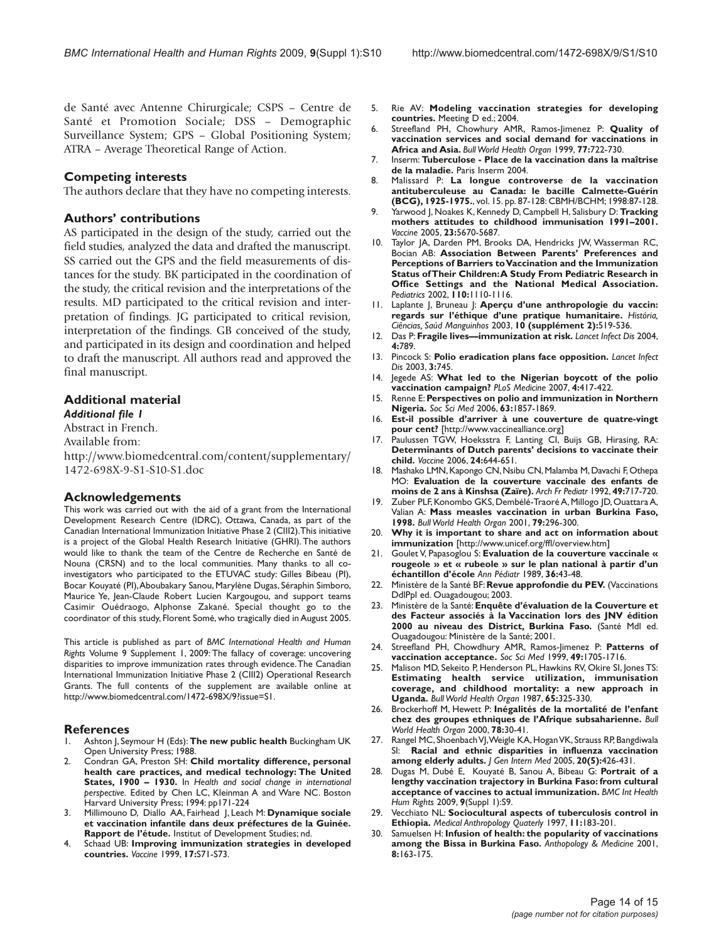de Santé avec Antenne Chirurgicale; CSPS – Centre de Santé et Promotion Sociale; DSS – Demographic Surveillance System; GPS – Global Positioning System; ATRA – Average Theoretical Range of Action.

#### **Competing interests**

The authors declare that they have no competing interests.

#### **Authors' contributions**

AS participated in the design of the study, carried out the field studies, analyzed the data and drafted the manuscript. SS carried out the GPS and the field measurements of distances for the study. BK participated in the coordination of the study, the critical revision and the interpretations of the results. MD participated to the critical revision and interpretation of findings. JG participated to critical revision, interpretation of the findings. GB conceived of the study, and participated in its design and coordination and helped to draft the manuscript. All authors read and approved the final manuscript.

# **Additional material**

*Additional file 1* 

Abstract in French.

Available from:

http://www.biomedcentral.com/content/supplementary/ 1472-698X-9-S1-S10-S1.doc

#### **Acknowledgements**

This work was carried out with the aid of a grant from the International Development Research Centre (IDRC), Ottawa, Canada, as part of the Canadian International Immunization Initiative Phase 2 (CIII2).This initiative is a project of the Global Health Research Initiative (GHRI). The authors would like to thank the team of the Centre de Recherche en Santé de Nouna (CRSN) and to the local communities. Many thanks to all coinvestigators who participated to the ETUVAC study: Gilles Bibeau (PI), Bocar Kouyaté (PI),Aboubakary Sanou, Marylène Dugas, Séraphin Simboro, Maurice Ye, Jean-Claude Robert Lucien Kargougou, and support teams Casimir Ouédraogo, Alphonse Zakané. Special thought go to the coordinator of this study, Florent Somé, who tragically died in August 2005.

This article is published as part of *BMC International Health and Human Rights* Volume 9 Supplement 1, 2009: The fallacy of coverage: uncovering disparities to improve immunization rates through evidence.The Canadian International Immunization Initiative Phase 2 (CIII2) Operational Research Grants. The full contents of the supplement are available online at http://www.biomedcentral.com/1472-698X/9?issue=S1.

#### **References**

- 1. Ashton J, Seymour H (Eds): **The new public health** Buckingham UK Open University Press; 1988.
- 2. Condran GA, Preston SH: **Child mortality difference, personal health care practices, and medical technology: The United States, 1900 – 1930.** In *Health and social change in international perspective.* Edited by Chen LC, Kleinman A and Ware NC. Boston Harvard University Press; 1994: pp171-224
- 3. Millimouno D, Diallo AA, Fairhead J, Leach M: **Dynamique sociale et vaccination infantile dans deux préfectures de la Guinée. Rapport de l'étude.** Institut of Development Studies; nd.
- 4. Schaad UB: **Improving immunization strategies in developed countries.** *Vaccine* 1999, **17:**S71-S73.
- 5. Rie AV: **Modeling vaccination strategies for developing countries.** Meeting D ed.; 2004.
- 6. Streefland PH, Chowhury AMR, Ramos-Jimenez P: **Quality of vaccination services and social demand for vaccinations in Africa and Asia.** *Bull World Health Organ* 1999, **77:**722-730.
- 7. Inserm: **Tuberculose Place de la vaccination dans la maîtrise de la maladie.** Paris Inserm 2004.
- 8. Malissard P: **La longue controverse de la vaccination antituberculeuse au Canada: le bacille Calmette-Guérin (BCG), 1925-1975.**, vol. 15. pp. 87-128: CBMH/BCHM; 1998:87-128.
- 9. Yarwood J, Noakes K, Kennedy D, Campbell H, Salisbury D: **Tracking mothers attitudes to childhood immunisation 1991–2001.** *Vaccine* 2005, **23:**5670-5687.
- 10. Taylor JA, Darden PM, Brooks DA, Hendricks JW, Wasserman RC, Bocian AB: **Association Between Parents' Preferences and Perceptions of Barriers to Vaccination and the Immunization Status of Their Children:A Study From Pediatric Research in Office Settings and the National Medical Association.** *Pediatrics* 2002, **110:**1110-1116.
- 11. Laplante J, Bruneau J: **Aperçu d'une anthropologie du vaccin: regards sur l'éthique d'une pratique humanitaire.** *História, Ciências, Saúd Manguinhos* 2003, **10 (supplément 2):**519-536.
- 12. Das P: **Fragile lives—immunization at risk.** *Lancet Infect Dis* 2004, **4:**789.
- 13. Pincock S: **Polio eradication plans face opposition.** *Lancet Infect Dis* 2003, **3:**745.
- 14. Jegede AS: **What led to the Nigerian boycott of the polio vaccination campaign?** *PLoS Medicine* 2007, **4:**417-422.
- 15. Renne E:**Perspectives on polio and immunization in Northern Nigeria.** *Soc Sci Med* 2006, **63:**1857-1869.
- 16. **Est-il possible d'arriver à une couverture de quatre-vingt pour cent?** [http://www.vaccinealliance.org]
- 17. Paulussen TGW, Hoeksstra F, Lanting CI, Buijs GB, Hirasing, RA: **Determinants of Dutch parents' decisions to vaccinate their child.** *Vaccine* 2006, **24:**644-651.
- 18. Mashako LMN, Kapongo CN, Nsibu CN, Malamba M, Davachi F, Othepa MO: **Evaluation de la couverture vaccinale des enfants de moins de 2 ans à Kinshsa (Zaïre).** *Arch Fr Pediatr* 1992, **49:**717-720.
- 19. Zuber PLF, Konombo GKS, Dembélé-Traoré A, Millogo JD, Ouattara A, Valian A: **Mass measles vaccination in urban Burkina Faso, 1998.** *Bull World Health Organ* 2001, **79:**296-300.
- 20. **Why it is important to share and act on information about immunization** [http://www.unicef.org/ffl/overview.htm]
- 21. Goulet V, Papasoglou S: **Evaluation de la couverture vaccinale « rougeole » et « rubeole » sur le plan national à partir d'un échantillon d'école** *Ann Pédiatr* 1989, **36:**43-48.
- 22. Ministère de la Santé BF:**Revue approfondie du PEV.** (Vaccinations DdlPpl ed. Ouagadougou; 2003.
- 23. Ministère de la Santé: **Enquête d'évaluation de la Couverture et des Facteur associés à la Vaccination lors des JNV édition 2000 au niveau des District, Burkina Faso.** (Santé Mdl ed. Ouagadougou: Ministère de la Santé; 2001.
- 24. Streefland PH, Chowdhury AMR, Ramos-Jimenez P: **Patterns of vaccination acceptance.** *Soc Sci Med* 1999, **49:**1705-1716.
- 25. Malison MD, Sekeito P, Henderson PL, Hawkins RV, Okire SI, Jones TS: **Estimating health service utilization, immunisation coverage, and childhood mortality: a new approach in Uganda.** *Bull World Health Organ* 1987, **65:**325-330.
- 26. Brockerhoff M, Hewett P: **Inégalités de la mortalité de l'enfant chez des groupes ethniques de l'Afrique subsaharienne.** *Bull World Health Organ* 2000, **78:**30-41.
- 27. Rangel MC, Shoenbach VJ,Weigle KA, Hogan VK, Strauss RP, Bangdiwala SI: **Racial and ethnic disparities in influenza vaccination among elderly adults.** *J Gen Intern Med* 2005, **20(5):**426-431.
- 28. Dugas M, Dubé E, Kouyaté B, Sanou A, Bibeau G: **Portrait of a lengthy vaccination trajectory in Burkina Faso: from cultural acceptance of vaccines to actual immunization.** *BMC Int Health Hum Rights* 2009, **9**(Suppl 1):S9.
- 29. Vecchiato NL: **Sociocultural aspects of tuberculosis control in Ethiopia.** *Medical Anthropology Quaterly* 1997, **11:**183-201.
- 30. Samuelsen H: **Infusion of health: the popularity of vaccinations among the Bissa in Burkina Faso.** *Anthopology & Medicine* 2001, **8:**163-175.